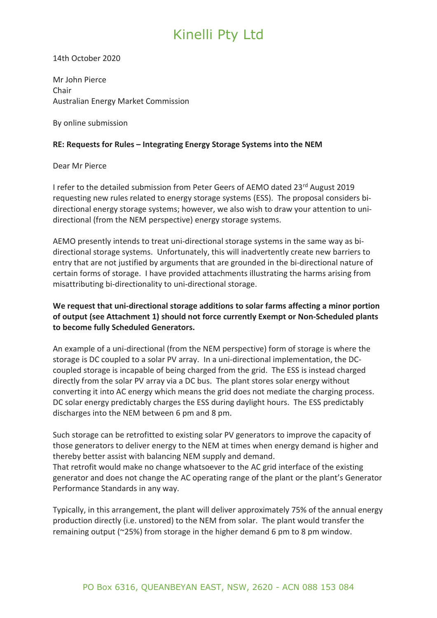14th October 2020

Mr John Pierce Chair Australian Energy Market Commission

By online submission

#### **RE: Requests for Rules – Integrating Energy Storage Systems into the NEM**

#### Dear Mr Pierce

I refer to the detailed submission from Peter Geers of AEMO dated 23rd August 2019 requesting new rules related to energy storage systems (ESS). The proposal considers bidirectional energy storage systems; however, we also wish to draw your attention to unidirectional (from the NEM perspective) energy storage systems.

AEMO presently intends to treat uni-directional storage systems in the same way as bidirectional storage systems. Unfortunately, this will inadvertently create new barriers to entry that are not justified by arguments that are grounded in the bi-directional nature of certain forms of storage. I have provided attachments illustrating the harms arising from misattributing bi-directionality to uni-directional storage.

### **We request that uni-directional storage additions to solar farms affecting a minor portion of output (see Attachment 1) should not force currently Exempt or Non-Scheduled plants to become fully Scheduled Generators.**

An example of a uni-directional (from the NEM perspective) form of storage is where the storage is DC coupled to a solar PV array. In a uni-directional implementation, the DCcoupled storage is incapable of being charged from the grid. The ESS is instead charged directly from the solar PV array via a DC bus. The plant stores solar energy without converting it into AC energy which means the grid does not mediate the charging process. DC solar energy predictably charges the ESS during daylight hours. The ESS predictably discharges into the NEM between 6 pm and 8 pm.

Such storage can be retrofitted to existing solar PV generators to improve the capacity of those generators to deliver energy to the NEM at times when energy demand is higher and thereby better assist with balancing NEM supply and demand.

That retrofit would make no change whatsoever to the AC grid interface of the existing generator and does not change the AC operating range of the plant or the plant's Generator Performance Standards in any way.

Typically, in this arrangement, the plant will deliver approximately 75% of the annual energy production directly (i.e. unstored) to the NEM from solar. The plant would transfer the remaining output (~25%) from storage in the higher demand 6 pm to 8 pm window.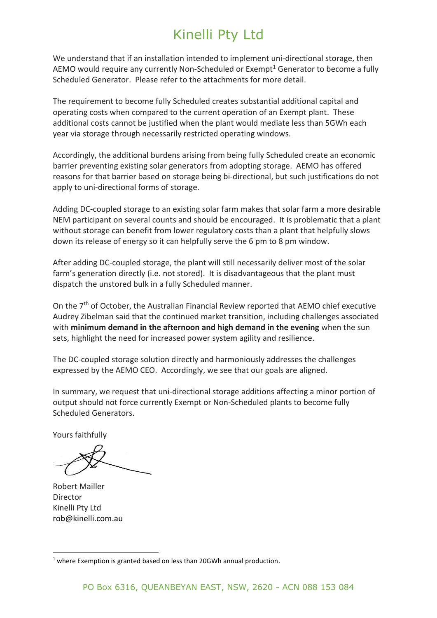We understand that if an installation intended to implement uni-directional storage, then AEMO would require any currently Non-Scheduled or Exempt<sup>1</sup> Generator to become a fully Scheduled Generator. Please refer to the attachments for more detail.

The requirement to become fully Scheduled creates substantial additional capital and operating costs when compared to the current operation of an Exempt plant. These additional costs cannot be justified when the plant would mediate less than 5GWh each year via storage through necessarily restricted operating windows.

Accordingly, the additional burdens arising from being fully Scheduled create an economic barrier preventing existing solar generators from adopting storage. AEMO has offered reasons for that barrier based on storage being bi-directional, but such justifications do not apply to uni-directional forms of storage.

Adding DC-coupled storage to an existing solar farm makes that solar farm a more desirable NEM participant on several counts and should be encouraged. It is problematic that a plant without storage can benefit from lower regulatory costs than a plant that helpfully slows down its release of energy so it can helpfully serve the 6 pm to 8 pm window.

After adding DC-coupled storage, the plant will still necessarily deliver most of the solar farm's generation directly (i.e. not stored). It is disadvantageous that the plant must dispatch the unstored bulk in a fully Scheduled manner.

On the  $7<sup>th</sup>$  of October, the Australian Financial Review reported that AEMO chief executive Audrey Zibelman said that the continued market transition, including challenges associated with **minimum demand in the afternoon and high demand in the evening** when the sun sets, highlight the need for increased power system agility and resilience.

The DC-coupled storage solution directly and harmoniously addresses the challenges expressed by the AEMO CEO. Accordingly, we see that our goals are aligned.

In summary, we request that uni-directional storage additions affecting a minor portion of output should not force currently Exempt or Non-Scheduled plants to become fully Scheduled Generators.

Yours faithfully

Robert Mailler Director Kinelli Pty Ltd rob@kinelli.com.au

<sup>&</sup>lt;sup>1</sup> where Exemption is granted based on less than 20GWh annual production.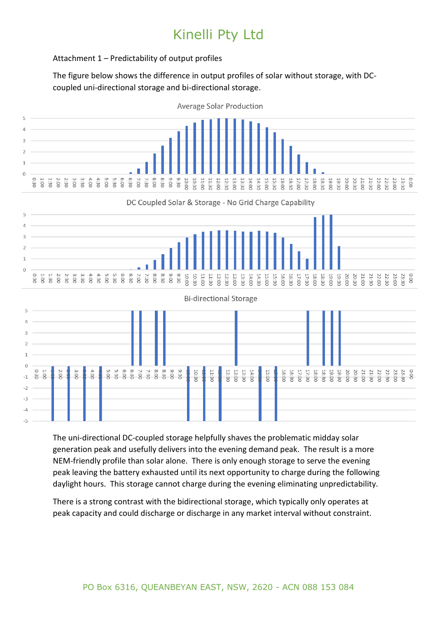### Attachment 1 – Predictability of output profiles

The figure below shows the difference in output profiles of solar without storage, with DCcoupled uni-directional storage and bi-directional storage.



The uni-directional DC-coupled storage helpfully shaves the problematic midday solar generation peak and usefully delivers into the evening demand peak. The result is a more NEM-friendly profile than solar alone. There is only enough storage to serve the evening peak leaving the battery exhausted until its next opportunity to charge during the following daylight hours. This storage cannot charge during the evening eliminating unpredictability.

There is a strong contrast with the bidirectional storage, which typically only operates at peak capacity and could discharge or discharge in any market interval without constraint.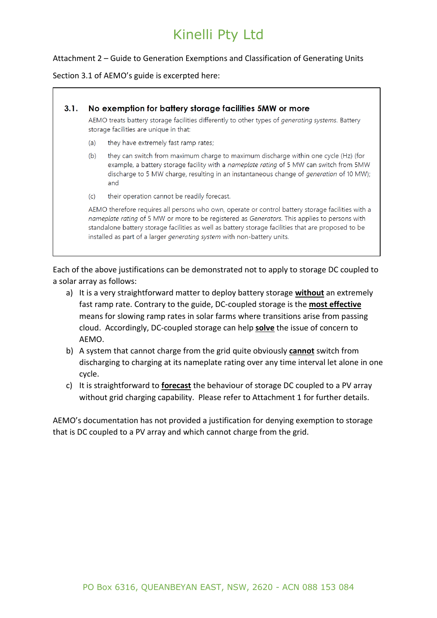#### Attachment 2 – Guide to Generation Exemptions and Classification of Generating Units

#### Section 3.1 of AEMO's guide is excerpted here:

#### No exemption for battery storage facilities 5MW or more  $3.1.$

AEMO treats battery storage facilities differently to other types of generating systems. Battery storage facilities are unique in that:

- they have extremely fast ramp rates;  $(a)$
- $(b)$ they can switch from maximum charge to maximum discharge within one cycle (Hz) (for example, a battery storage facility with a nameplate rating of 5 MW can switch from 5MW discharge to 5 MW charge, resulting in an instantaneous change of generation of 10 MW); and
- their operation cannot be readily forecast.  $(c)$

AEMO therefore requires all persons who own, operate or control battery storage facilities with a nameplate rating of 5 MW or more to be registered as Generators. This applies to persons with standalone battery storage facilities as well as battery storage facilities that are proposed to be installed as part of a larger generating system with non-battery units.

Each of the above justifications can be demonstrated not to apply to storage DC coupled to a solar array as follows:

- a) It is a very straightforward matter to deploy battery storage **without** an extremely fast ramp rate. Contrary to the guide, DC-coupled storage is the **most effective** means for slowing ramp rates in solar farms where transitions arise from passing cloud. Accordingly, DC-coupled storage can help **solve** the issue of concern to AEMO.
- b) A system that cannot charge from the grid quite obviously **cannot** switch from discharging to charging at its nameplate rating over any time interval let alone in one cycle.
- c) It is straightforward to **forecast** the behaviour of storage DC coupled to a PV array without grid charging capability. Please refer to Attachment 1 for further details.

AEMO's documentation has not provided a justification for denying exemption to storage that is DC coupled to a PV array and which cannot charge from the grid.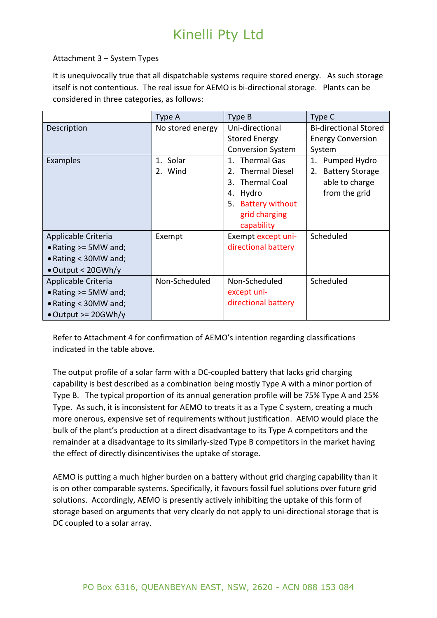### Attachment 3 – System Types

It is unequivocally true that all dispatchable systems require stored energy. As such storage itself is not contentious. The real issue for AEMO is bi-directional storage. Plants can be considered in three categories, as follows:

|                              | Type A           | Type B                                  | Type C                       |
|------------------------------|------------------|-----------------------------------------|------------------------------|
| Description                  | No stored energy | Uni-directional                         | <b>Bi-directional Stored</b> |
|                              |                  | <b>Stored Energy</b>                    | <b>Energy Conversion</b>     |
|                              |                  | <b>Conversion System</b>                | System                       |
| Examples                     | 1. Solar         | 1. Thermal Gas                          | 1. Pumped Hydro              |
|                              | 2. Wind          | <b>Thermal Diesel</b><br>2 <sub>1</sub> | <b>Battery Storage</b><br>2. |
|                              |                  | 3. Thermal Coal                         | able to charge               |
|                              |                  | Hydro<br>4.                             | from the grid                |
|                              |                  | 5. Battery without                      |                              |
|                              |                  | grid charging                           |                              |
|                              |                  | capability                              |                              |
| Applicable Criteria          | Exempt           | Exempt except uni-                      | Scheduled                    |
| • Rating $>=$ 5MW and;       |                  | directional battery                     |                              |
| • Rating < 30MW and;         |                  |                                         |                              |
| $\bullet$ Output < 20GWh/y   |                  |                                         |                              |
| Applicable Criteria          | Non-Scheduled    | Non-Scheduled                           | Scheduled                    |
| • Rating $>=$ 5MW and;       |                  | except uni-                             |                              |
| $\bullet$ Rating < 30MW and; |                  | directional battery                     |                              |
| $\bullet$ Output >= 20GWh/y  |                  |                                         |                              |

Refer to Attachment 4 for confirmation of AEMO's intention regarding classifications indicated in the table above.

The output profile of a solar farm with a DC-coupled battery that lacks grid charging capability is best described as a combination being mostly Type A with a minor portion of Type B. The typical proportion of its annual generation profile will be 75% Type A and 25% Type. As such, it is inconsistent for AEMO to treats it as a Type C system, creating a much more onerous, expensive set of requirements without justification. AEMO would place the bulk of the plant's production at a direct disadvantage to its Type A competitors and the remainder at a disadvantage to its similarly-sized Type B competitors in the market having the effect of directly disincentivises the uptake of storage.

AEMO is putting a much higher burden on a battery without grid charging capability than it is on other comparable systems. Specifically, it favours fossil fuel solutions over future grid solutions. Accordingly, AEMO is presently actively inhibiting the uptake of this form of storage based on arguments that very clearly do not apply to uni-directional storage that is DC coupled to a solar array.